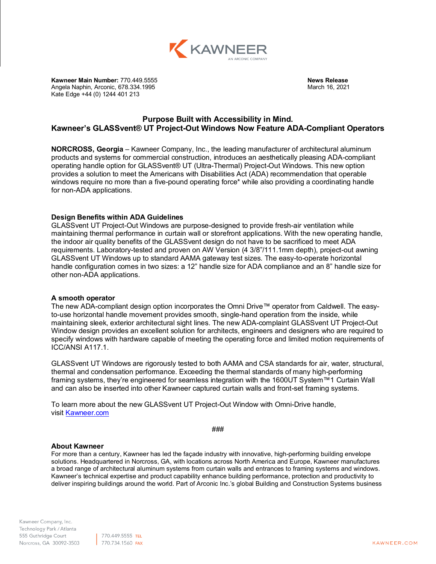

**Kawneer Main Number:** 770.449.5555 **News Release**<br>Angela Naphin, Arconic, 678.334.1995 **News Release** News Release Angela Naphin, Arconic, 678.334.1995 Kate Edge +44 (0) 1244 401 213

## **Purpose Built with Accessibility in Mind. Kawneer's GLASSvent® UT Project-Out Windows Now Feature ADA-Compliant Operators**

**NORCROSS, Georgia** – Kawneer Company, Inc., the leading manufacturer of architectural aluminum products and systems for commercial construction, introduces an aesthetically pleasing ADA-compliant operating handle option for GLASSvent® UT (Ultra-Thermal) Project-Out Windows. This new option provides a solution to meet the Americans with Disabilities Act (ADA) recommendation that operable windows require no more than a five-pound operating force\* while also providing a coordinating handle for non-ADA applications.

## **Design Benefits within ADA Guidelines**

GLASSvent UT Project-Out Windows are purpose-designed to provide fresh-air ventilation while maintaining thermal performance in curtain wall or storefront applications. With the new operating handle, the indoor air quality benefits of the GLASSvent design do not have to be sacrificed to meet ADA requirements. Laboratory-tested and proven on AW Version (4 3/8"/111.1mm depth), project-out awning GLASSvent UT Windows up to standard AAMA gateway test sizes. The easy-to-operate horizontal handle configuration comes in two sizes: a 12" handle size for ADA compliance and an 8" handle size for other non-ADA applications.

## **A smooth operator**

The new ADA-compliant design option incorporates the Omni Drive™ operator from Caldwell. The easyto-use horizontal handle movement provides smooth, single-hand operation from the inside, while maintaining sleek, exterior architectural sight lines. The new ADA-complaint GLASSvent UT Project-Out Window design provides an excellent solution for architects, engineers and designers who are required to specify windows with hardware capable of meeting the operating force and limited motion requirements of ICC/ANSI A117.1.

GLASSvent UT Windows are rigorously tested to both AAMA and CSA standards for air, water, structural, thermal and condensation performance. Exceeding the thermal standards of many high-performing framing systems, they're engineered for seamless integration with the 1600UT System™1 Curtain Wall and can also be inserted into other Kawneer captured curtain walls and front-set framing systems.

To learn more about the new GLASSvent UT Project-Out Window with Omni-Drive handle, visit [Kawneer.com](https://www.kawneer.com/kawneer/north_america/en/info_page/home.asp)

###

## **About Kawneer**

For more than a century, Kawneer has led the façade industry with innovative, high-performing building envelope solutions. Headquartered in Norcross, GA, with locations across North America and Europe, Kawneer manufactures a broad range of architectural aluminum systems from curtain walls and entrances to framing systems and windows. Kawneer's technical expertise and product capability enhance building performance, protection and productivity to deliver inspiring buildings around the world. Part of Arconic Inc.'s global Building and Construction Systems business

| 770.449.5555 TEL 770.734.1560 FAX